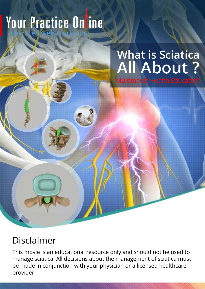# **What is Sciatica All About ?**

Multimedia Health Education

# Disclaimer

This movie is an educational resource only and should not be used to manage sciatica. All decisions about the management of sciatica must be made in conjunction with your physician or a licensed healthcare provider.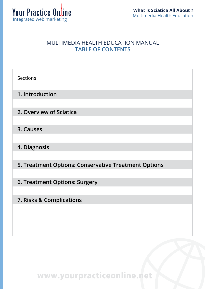

#### MULTIMEDIA HEALTH EDUCATION MANUAL **TABLE OF CONTENTS**

| <b>Sections</b>                                      |
|------------------------------------------------------|
| 1. Introduction                                      |
| 2. Overview of Sciatica                              |
| 3. Causes                                            |
| 4. Diagnosis                                         |
| 5. Treatment Options: Conservative Treatment Options |
| 6. Treatment Options: Surgery                        |
| 7. Risks & Complications                             |
|                                                      |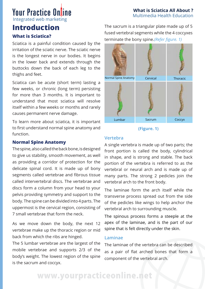#### **Your Practice Online** Integrated web marketing

#### **What is Sciatica All About ?**  Multimedia Health Education

# **Introduction**

#### **What is Sciatica?**

Sciatica is a painful condition caused by the irritation of the sciatic nerve. The sciatic nerve is the longest nerve in our bodies. It begins in the lower back and extends through the buttocks down the back of each leg to the thighs and feet.

Sciatica can be acute (short term) lasting a few weeks, or chronic (long term) persisting for more than 3 months. It is important to understand that most sciatica will resolve itself within a few weeks or months and rarely causes permanent nerve damage.

To learn more about sciatica, it is important to first understand normal spine anatomy and function.

#### **Normal Spine Anatomy**

The spine, also called the back bone, is designed to give us stability, smooth movement, as well as providing a corridor of protection for the delicate spinal cord. It is made up of bony segments called vertebrae and fibrous tissue called intervertebral discs. The vertebrae and discs form a column from your head to your pelvis providing symmetry and support to the body. The spine can be divided into 4 parts. The uppermost is the cervical region, consisting of 7 small vertebrae that form the neck.

As we move down the body, the next 12 vertebrae make up the thoracic region or mid back from which the ribs are hinged.

The 5 lumbar vertebrae are the largest of the mobile vertebrae and supports 2/3 of the body's weight. The lowest region of the spine is the sacrum and coccyx.

The sacrum is a triangular plate made up of 5 fused vertebral segments while the 4 coccyxes terminate the bony spine.*(Refer figure. 1)*



**(Figure. 1)**

#### **Vertebra**

A single vertebra is made up of two parts; the front portion is called the body, cylindrical in shape, and is strong and stable. The back portion of the vertebra is referred to as the vertebral or neural arch and is made up of many parts. The strong 2 pedicles join the vertebral arch to the front body.

The laminae form the arch itself while the transverse process spread out from the side of the pedicles like wings to help anchor the vertebral arch to surrounding muscle.

The spinous process forms a steeple at the apex of the laminae, and is the part of our spine that is felt directly under the skin.

#### **Laminae**

The laminae of the vertebra can be described as a pair of flat arched bones that form a component of the vertebral arch.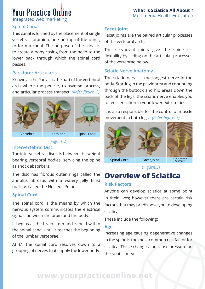**What is Sciatica All About ?**  Multimedia Health Education

Integrated web marketing

#### **Spinal Canal**

This canal is formed by the placement of single vertebral foramina, one on top of the other, to form a canal. The purpose of the canal is to create a bony casing from the head to the lower back through which the spinal cord passes.

#### **Pars Inter Articularis**

Known as the Pars, it is the part of the vertebral arch where the pedicle, transverse process, and articular process transect. *(Refer figure. 2)*







Vertebra Laminae Spinal Canal

(Figure.2)

#### **Intervertebral Disc**

The intervertebral disc sits between the weight bearing vertebral bodies, servicing the spine as shock absorbers.

The disc has fibrous outer rings called the annulus fibrosus with a watery jelly filled nucleus called the Nucleus Pulposis.

#### **Spinal Cord**

The spinal cord is the means by which the nervous system communicates the electrical signals between the brain and the body.

It begins at the brain stem and is held within the spinal canal until it reaches the beginning of the lumbar vertebrae.

At L1 the spinal cord resolves down to a grouping of nerves that supply the lower body.

#### **Facet Joint**

Facet joints are the paired articular processes of the vertebral arch.

These synovial joints give the spine it's flexibility by sliding on the articular processes of the vertebrae below.

#### **Sciatic Nerve Anatomy**

The sciatic nerve is the longest nerve in the body. Starting in the pelvic area and continuing through the buttock and hip areas down the back of the legs, the sciatic nerve enables you to feel sensation in your lower extremities.

It is also responsible for the control of muscle movement in both legs. *(Refer figure. 3)*







(Figure.3)

### **Overview of Sciatica Risk Factors**

Anyone can develop sciatica at some point in their lives; however there are certain risk factors that may predispose you to developing sciatica.

These include the following:

#### **Age**

Increasing age causing degenerative changes in the spine is the most common risk factor for sciatica. These changes can cause pressure on the sciatic nerve.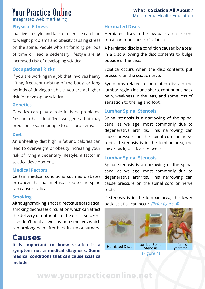#### **What is Sciatica All About ?**  Multimedia Health Education

# **Your Practice Online**

Integrated web marketing

#### **Physical Fitness**

Inactive lifestyle and lack of exercise can lead to weight problems and obesity causing stress on the spine. People who sit for long periods of time or lead a sedentary lifestyle are at increased risk of developing sciatica.

#### **Occupational Risks**

If you are working in a job that involves heavy lifting, frequent twisting of the body, or long periods of driving a vehicle, you are at higher risk for developing sciatica.

#### **Genetics**

Genetics can play a role in back problems. Research has identified two genes that may predispose some people to disc problems.

#### **Diet**

An unhealthy diet high in fat and calories can lead to overweight or obesity increasing your risk of living a sedentary lifestyle, a factor in sciatica development.

#### **Medical Factors**

Certain medical conditions such as diabetes or cancer that has metastasized to the spine can cause sciatica.

#### **Smoking**

Although smoking is not a direct cause of sciatica, smoking decreases circulation which can affect the delivery of nutrients to the discs. Smokers also don't heal as well as non-smokers which can prolong pain after back injury or surgery.

### **Causes**

**It is important to know sciatica is a symptom not a medical diagnosis. Some medical conditions that can cause sciatica include:**

#### **Herniated Discs**

Herniated discs in the low back area are the most common cause of sciatica.

A herniated disc is a condition caused by a tear in a disc allowing the disc contents to bulge outside of the disc.

Sciatica occurs when the disc contents put pressure on the sciatic nerve.

Symptoms related to herniated discs in the lumbar region include sharp, continuous back pain, weakness in the legs, and some loss of sensation to the leg and foot.

#### **Lumbar Spinal Stenosis**

Spinal stenosis is a narrowing of the spinal canal as we age, most commonly due to degenerative arthritis. This narrowing can cause pressure on the spinal cord or nerve roots. If stenosis is in the lumbar area, the lower back, sciatica can occur.

#### **Lumbar Spinal Stenosis**

Spinal stenosis is a narrowing of the spinal canal as we age, most commonly due to degenerative arthritis. This narrowing can cause pressure on the spinal cord or nerve roots.

If stenosis is in the lumbar area, the lower back, sciatica can occur. *(Refer figure. 4)*



(Figure.4)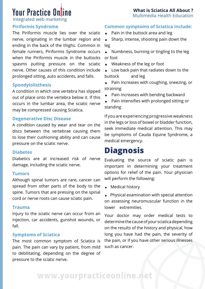**What is Sciatica All About ?**  Multimedia Health Education

Integrated web marketing

#### **Piriformis Syndrome**

The Piriformis muscle lies over the sciatic nerve, originating in the lumbar region and ending in the back of the thighs. Common in female runners, Piriformis Syndrome occurs when the Piriformis muscle in the buttocks spasms putting pressure on the sciatic nerve. Other causes of this condition include prolonged sitting, auto accidents, and falls.

#### **Spondylolisthesis**

A condition in which one vertebra has slipped out of place onto the vertebra below it. If this occurs in the lumbar area, the sciatic nerve may be compressed causing Sciatica.

#### **Degenerative Disc Disease**

A condition caused by wear and tear on the discs between the vertebrae causing them to lose their cushioning ability and can cause pressure on the sciatic nerve.

#### **Diabetes**

Diabetics are at increased risk of nerve damage, including the sciatic nerve.

#### **Tumors**

Although spinal tumors are rare, cancer can spread from other parts of the body to the spine. Tumors that are pressing on the spinal cord or nerve roots can cause sciatic pain.

#### **Trauma**

Injury to the sciatic nerve can occur from an injection, car accidents, gunshot wounds, or fall.

#### **Symptoms of Sciatica**

The most common symptom of Sciatica is pain. The pain can vary by patient, from mild to debilitating, depending on the degree of pressure to the sciatic nerve.

# **Common symptoms of Sciatica include:** . Pain in the buttock area and leg

- 
- Pain in the buttock area and leg<br>• Sharp, intense, shooting pain down the leg
- . Numbness, burning or tingling to the leg or foot
- . Weakness of the leg or foot
- . Low back pain that radiates down to the buttock and leg
- . Pain increases with coughing, sneezing, or straining
- . Pain increases with bending backward
- . Pain intensifies with prolonged sitting or standing

If you are experiencing progressive weakness in the legs or loss of bowel or bladder function, seek immediate medical attention. This may be symptoms of Cauda Equine Syndrome, a medical emergency.

### **Diagnosis**

Evaluating the source of sciatic pain is important in determining your treatment options for relief of the pain. Your physician will perform the following:

. Medical history

. Physical examination with special attention on assessing neuromuscular function in the lower extremities.

Your doctor may order medical tests to determine the cause of your sciatica depending on the results of the history and physical, how long you have had the pain, the severity of the pain, or if you have other serious illnesses such as cancer.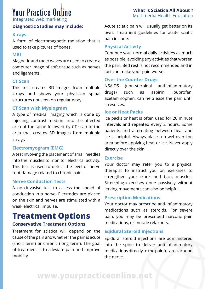Integrated web marketing

#### **Diagnostic Studies may include:**

#### **X-rays**

A form of electromagnetic radiation that is used to take pictures of bones.

#### **MRI**

Magnetic and radio waves are used to create a computer image of soft tissue such as nerves and ligaments.

#### **CT Scan**

This test creates 3D images from multiple x-rays and shows your physician spinal structures not seen on regular x-ray.

#### **CT Scan with Myelogram**

A type of medical imaging which is done by injecting contrast medium into the affected area of the spine followed by CT scan of the area that creates 3D images from multiple x-rays.

#### **Electromyogram (EMG)**

A test involving the placement of small needles into the muscles to monitor electrical activity. This test is used to detect the level of nerve root damage related to chronic pain.

#### **Nerve Conduction Tests**

A non-invasive test to assess the speed of conduction in a nerve. Electrodes are placed on the skin and nerves are stimulated with a weak electrical impulse.

#### **Treatment Options Conservative Treatment Options**

Treatment for sciatica will depend on the cause of the pain and whether the pain is acute (short term) or chronic (long term). The goal of treatment is to alleviate pain and improve mobility.

Acute sciatic pain will usually get better on its own. Treatment guidelines for acute sciatic pain include:

#### **Physical Activity**

Continue your normal daily activities as much as possible, avoiding any activities that worsen the pain. Bed rest is not recommended and in fact can make your pain worse.

#### **Over the Counter Drugs**

NSAIDS (non-steroidal anti-inflammatory drugs) such as aspirin, ibuprofen, acetaminophen, can help ease the pain until it resolves.

#### **Ice or Heat Packs**

Ice packs or heat is often used for 20 minute intervals and repeated every 2 hours. Some patients find alternating between heat and ice is helpful. Always place a towel over the area before applying heat or ice. Never apply directly over the skin.

#### **Exercise**

Your doctor may refer you to a physical therapist to instruct you on exercises to strengthen your trunk and back muscles. Stretching exercises done passively without jerking movements can also be helpful.

#### **Prescription Medications**

Your doctor may prescribe anti-inflammatory medications such as steroids. For severe pain, you may be prescribed narcotic pain medications, or muscle relaxants.

#### **Eqidural Steroid Injections**

Epidural steroid injections are administered into the spine to deliver anti-inflammatory medications directly to the painful area around the nerve.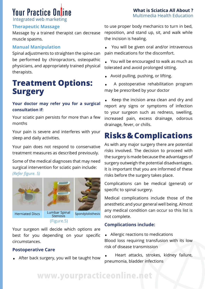Integrated web marketing

#### **Therapeutic Massage**

Massage by a trained therapist can decrease muscle spasms.

#### **Manual Manipulation**

Spinal adjustments to straighten the spine can be performed by chiropractors, osteopathic physicians, and appropriately trained physical therapists.

### **Treatment Options: Surgery**

#### **Your doctor may refer you for a surgical consultation if:**

Your sciatic pain persists for more than a few months

Your pain is severe and interferes with your sleep and daily activities.

Your pain does not respond to conservative treatment measures as described previously.

Some of the medical diagnoses that may need surgical intervention for sciatic pain include: *(Refer figure. 5)*



#### (Figure.5)

Your surgeon will decide which options are best for you depending on your specific circumstances.

#### **Postoperative Care**

. After back surgery, you will be taught how

to use proper body mechanics to turn in bed, reposition, and stand up, sit, and walk while the incision is healing.

**What is Sciatica All About ?**  Multimedia Health Education

. You will be given oral and/or intravenous pain medications for the discomfort.

. You will be encouraged to walk as much as tolerated and avoid prolonged sitting.

- . Avoid pulling, pushing, or lifting.
- . A postoperative rehabilitation program may be prescribed by your doctor

. Keep the incision area clean and dry and report any signs or symptoms of infection to your surgeon such as redness, swelling, increased pain, excess drainage, odorous drainage, fever, or chills.

# **Risks & Complications**

As with any major surgery there are potential risks involved. The decision to proceed with the surgery is made because the advantages of surgery outweigh the potential disadvantages. It is important that you are informed of these risks before the surgery takes place.

Complications can be medical (general) or specific to spinal surgery.

Medical complications include those of the anesthetic and your general well being. Almost any medical condition can occur so this list is not complete.

#### **Complications include:**

. Allergic reactions to medications

Blood loss requiring transfusion with its low risk of disease transmission

. Heart attacks, strokes, kidney failure, pneumonia, bladder infections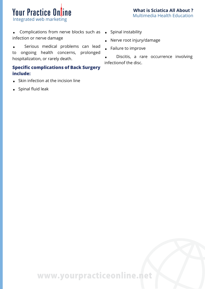#### **What is Sciatica All About ?**  Multimedia Health Education

### **Your Practice Online** Integrated web marketing

. Complications from nerve blocks such as . Spinal instability infection or nerve damage

. Serious medical problems can lead to ongoing health concerns, prolonged hospitalization, or rarely death.

#### **Specific complications of Back Surgery include:**

- . Skin infection at the incision line
- . Spinal fluid leak
- 
- . Nerve root injury/damage
- . Failure to improve
- . Discitis, a rare occurrence involving infectionof the disc.